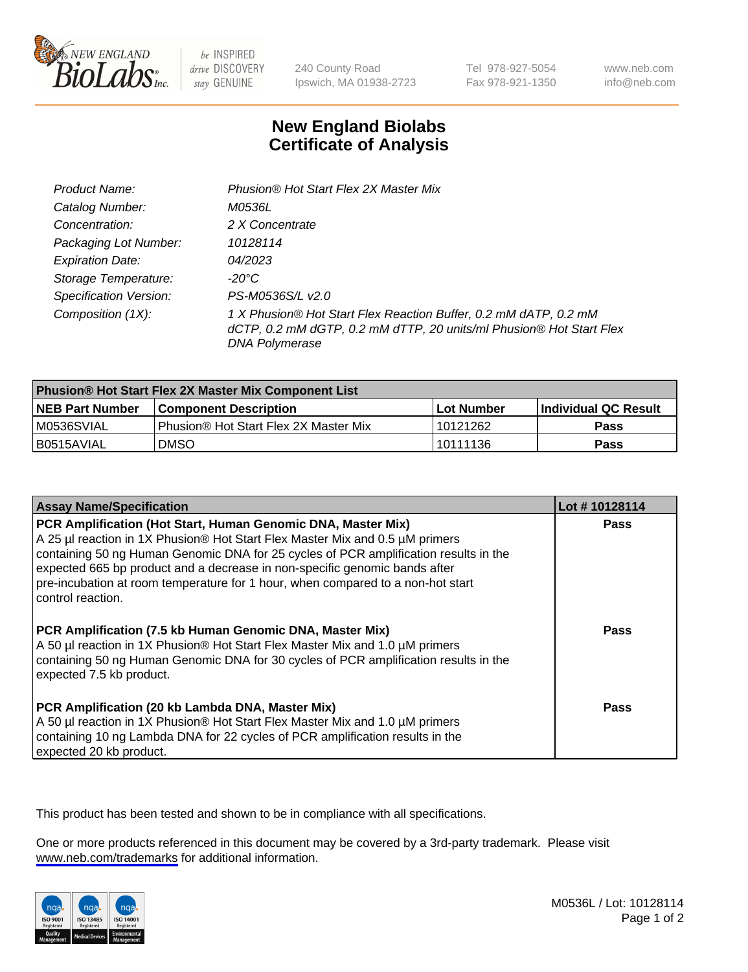

be INSPIRED drive DISCOVERY stay GENUINE

240 County Road Ipswich, MA 01938-2723 Tel 978-927-5054 Fax 978-921-1350

www.neb.com info@neb.com

## **New England Biolabs Certificate of Analysis**

| Product Name:                 | Phusion® Hot Start Flex 2X Master Mix                                                                                                                     |
|-------------------------------|-----------------------------------------------------------------------------------------------------------------------------------------------------------|
| Catalog Number:               | M0536L                                                                                                                                                    |
| Concentration:                | 2 X Concentrate                                                                                                                                           |
| Packaging Lot Number:         | 10128114                                                                                                                                                  |
| <b>Expiration Date:</b>       | 04/2023                                                                                                                                                   |
| Storage Temperature:          | -20°C                                                                                                                                                     |
| <b>Specification Version:</b> | PS-M0536S/L v2.0                                                                                                                                          |
| Composition (1X):             | 1 X Phusion® Hot Start Flex Reaction Buffer, 0.2 mM dATP, 0.2 mM<br>dCTP, 0.2 mM dGTP, 0.2 mM dTTP, 20 units/ml Phusion® Hot Start Flex<br>DNA Polymerase |

| <b>Phusion® Hot Start Flex 2X Master Mix Component List</b> |                                       |                   |                             |  |
|-------------------------------------------------------------|---------------------------------------|-------------------|-----------------------------|--|
| <b>NEB Part Number</b>                                      | <b>Component Description</b>          | <b>Lot Number</b> | <b>Individual QC Result</b> |  |
| IM0536SVIAL                                                 | Phusion® Hot Start Flex 2X Master Mix | 10121262          | <b>Pass</b>                 |  |
| I B0515AVIAL                                                | DMSO                                  | 10111136          | Pass                        |  |

| <b>Assay Name/Specification</b>                                                                                                                                                                                                                                                                                                                                                                                            | Lot #10128114 |
|----------------------------------------------------------------------------------------------------------------------------------------------------------------------------------------------------------------------------------------------------------------------------------------------------------------------------------------------------------------------------------------------------------------------------|---------------|
| PCR Amplification (Hot Start, Human Genomic DNA, Master Mix)<br>A 25 µl reaction in 1X Phusion® Hot Start Flex Master Mix and 0.5 µM primers<br>containing 50 ng Human Genomic DNA for 25 cycles of PCR amplification results in the<br>expected 665 bp product and a decrease in non-specific genomic bands after<br>pre-incubation at room temperature for 1 hour, when compared to a non-hot start<br>control reaction. | <b>Pass</b>   |
| PCR Amplification (7.5 kb Human Genomic DNA, Master Mix)<br>A 50 µl reaction in 1X Phusion® Hot Start Flex Master Mix and 1.0 µM primers<br>containing 50 ng Human Genomic DNA for 30 cycles of PCR amplification results in the<br>expected 7.5 kb product.                                                                                                                                                               | Pass          |
| PCR Amplification (20 kb Lambda DNA, Master Mix)<br>A 50 µl reaction in 1X Phusion® Hot Start Flex Master Mix and 1.0 µM primers<br>containing 10 ng Lambda DNA for 22 cycles of PCR amplification results in the<br>expected 20 kb product.                                                                                                                                                                               | Pass          |

This product has been tested and shown to be in compliance with all specifications.

One or more products referenced in this document may be covered by a 3rd-party trademark. Please visit <www.neb.com/trademarks>for additional information.